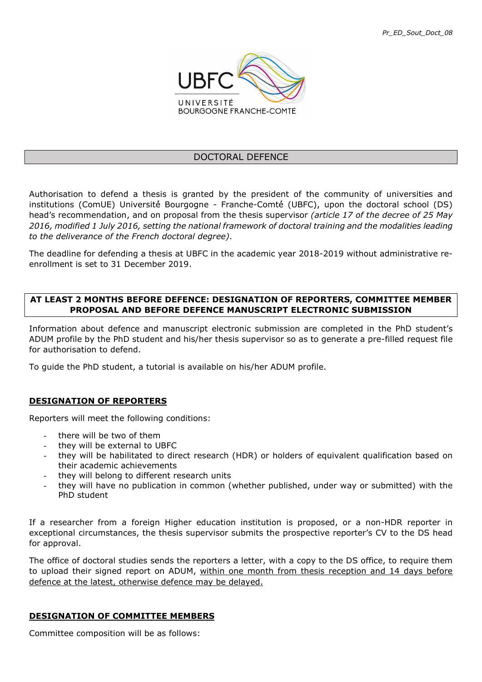

#### DOCTORAL DEFENCE

Authorisation to defend a thesis is granted by the president of the community of universities and institutions (ComUE) Université́ Bourgogne - Franche-Comté́ (UBFC), upon the doctoral school (DS) head's recommendation, and on proposal from the thesis supervisor (article 17 of the decree of 25 May 2016, modified 1 July 2016, setting the national framework of doctoral training and the modalities leading to the deliverance of the French doctoral degree).

The deadline for defending a thesis at UBFC in the academic year 2018-2019 without administrative reenrollment is set to 31 December 2019.

#### AT LEAST 2 MONTHS BEFORE DEFENCE: DESIGNATION OF REPORTERS, COMMITTEE MEMBER PROPOSAL AND BEFORE DEFENCE MANUSCRIPT ELECTRONIC SUBMISSION

Information about defence and manuscript electronic submission are completed in the PhD student's ADUM profile by the PhD student and his/her thesis supervisor so as to generate a pre-filled request file for authorisation to defend.

To guide the PhD student, a tutorial is available on his/her ADUM profile.

# DESIGNATION OF REPORTERS

Reporters will meet the following conditions:

- there will be two of them
- they will be external to UBFC
- they will be habilitated to direct research (HDR) or holders of equivalent qualification based on their academic achievements
- they will belong to different research units
- they will have no publication in common (whether published, under way or submitted) with the PhD student

If a researcher from a foreign Higher education institution is proposed, or a non-HDR reporter in exceptional circumstances, the thesis supervisor submits the prospective reporter's CV to the DS head for approval.

The office of doctoral studies sends the reporters a letter, with a copy to the DS office, to require them to upload their signed report on ADUM, within one month from thesis reception and 14 days before defence at the latest, otherwise defence may be delayed.

# DESIGNATION OF COMMITTEE MEMBERS

Committee composition will be as follows: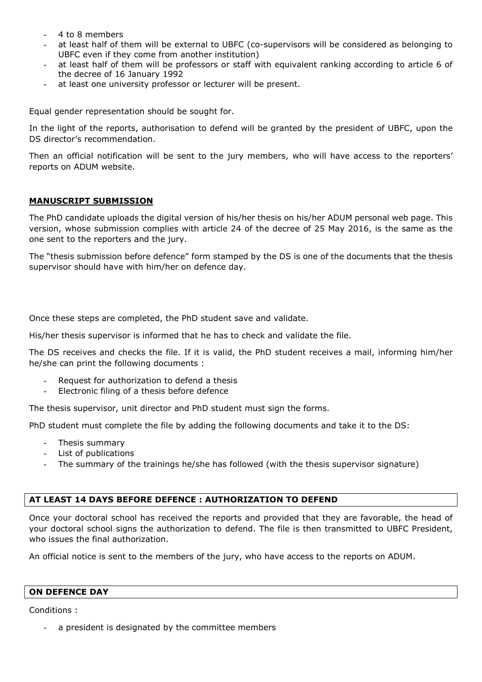- 4 to 8 members
- at least half of them will be external to UBFC (co-supervisors will be considered as belonging to UBFC even if they come from another institution)
- at least half of them will be professors or staff with equivalent ranking according to article 6 of the decree of 16 January 1992
- at least one university professor or lecturer will be present.

Equal gender representation should be sought for.

In the light of the reports, authorisation to defend will be granted by the president of UBFC, upon the DS director's recommendation.

Then an official notification will be sent to the jury members, who will have access to the reporters' reports on ADUM website.

#### MANUSCRIPT SUBMISSION

The PhD candidate uploads the digital version of his/her thesis on his/her ADUM personal web page. This version, whose submission complies with article 24 of the decree of 25 May 2016, is the same as the one sent to the reporters and the jury.

The "thesis submission before defence" form stamped by the DS is one of the documents that the thesis supervisor should have with him/her on defence day.

Once these steps are completed, the PhD student save and validate.

His/her thesis supervisor is informed that he has to check and validate the file.

The DS receives and checks the file. If it is valid, the PhD student receives a mail, informing him/her he/she can print the following documents :

- Request for authorization to defend a thesis
- Electronic filing of a thesis before defence

The thesis supervisor, unit director and PhD student must sign the forms.

PhD student must complete the file by adding the following documents and take it to the DS:

- Thesis summary
- List of publications
- The summary of the trainings he/she has followed (with the thesis supervisor signature)

#### AT LEAST 14 DAYS BEFORE DEFENCE : AUTHORIZATION TO DEFEND

Once your doctoral school has received the reports and provided that they are favorable, the head of your doctoral school signs the authorization to defend. The file is then transmitted to UBFC President, who issues the final authorization.

An official notice is sent to the members of the jury, who have access to the reports on ADUM.

#### ON DEFENCE DAY

Conditions :

a president is designated by the committee members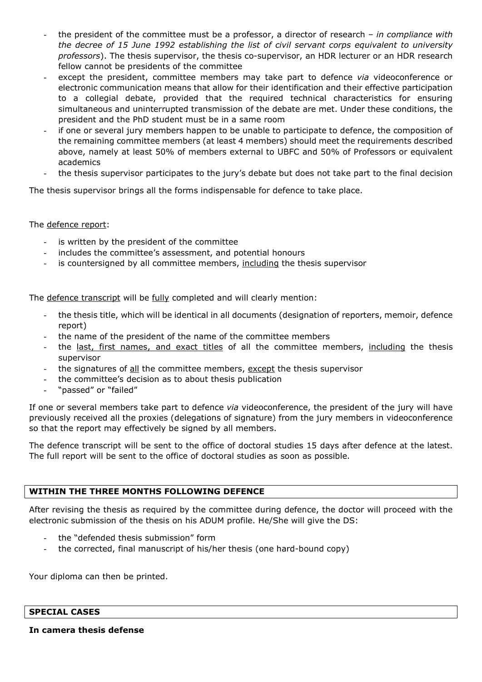- the president of the committee must be a professor, a director of research in compliance with the decree of 15 June 1992 establishing the list of civil servant corps equivalent to university professors). The thesis supervisor, the thesis co-supervisor, an HDR lecturer or an HDR research fellow cannot be presidents of the committee
- except the president, committee members may take part to defence via videoconference or electronic communication means that allow for their identification and their effective participation to a collegial debate, provided that the required technical characteristics for ensuring simultaneous and uninterrupted transmission of the debate are met. Under these conditions, the president and the PhD student must be in a same room
- if one or several jury members happen to be unable to participate to defence, the composition of the remaining committee members (at least 4 members) should meet the requirements described above, namely at least 50% of members external to UBFC and 50% of Professors or equivalent academics
- the thesis supervisor participates to the jury's debate but does not take part to the final decision

The thesis supervisor brings all the forms indispensable for defence to take place.

# The defence report:

- is written by the president of the committee
- includes the committee's assessment, and potential honours
- is countersigned by all committee members, including the thesis supervisor

The defence transcript will be fully completed and will clearly mention:

- the thesis title, which will be identical in all documents (designation of reporters, memoir, defence report)
- the name of the president of the name of the committee members
- the last, first names, and exact titles of all the committee members, including the thesis supervisor
- the signatures of all the committee members, except the thesis supervisor
- the committee's decision as to about thesis publication
- "passed" or "failed"

If one or several members take part to defence via videoconference, the president of the jury will have previously received all the proxies (delegations of signature) from the jury members in videoconference so that the report may effectively be signed by all members.

The defence transcript will be sent to the office of doctoral studies 15 days after defence at the latest. The full report will be sent to the office of doctoral studies as soon as possible.

# WITHIN THE THREE MONTHS FOLLOWING DEFENCE

After revising the thesis as required by the committee during defence, the doctor will proceed with the electronic submission of the thesis on his ADUM profile. He/She will give the DS:

- the "defended thesis submission" form
- the corrected, final manuscript of his/her thesis (one hard-bound copy)

Your diploma can then be printed.

In camera thesis defense